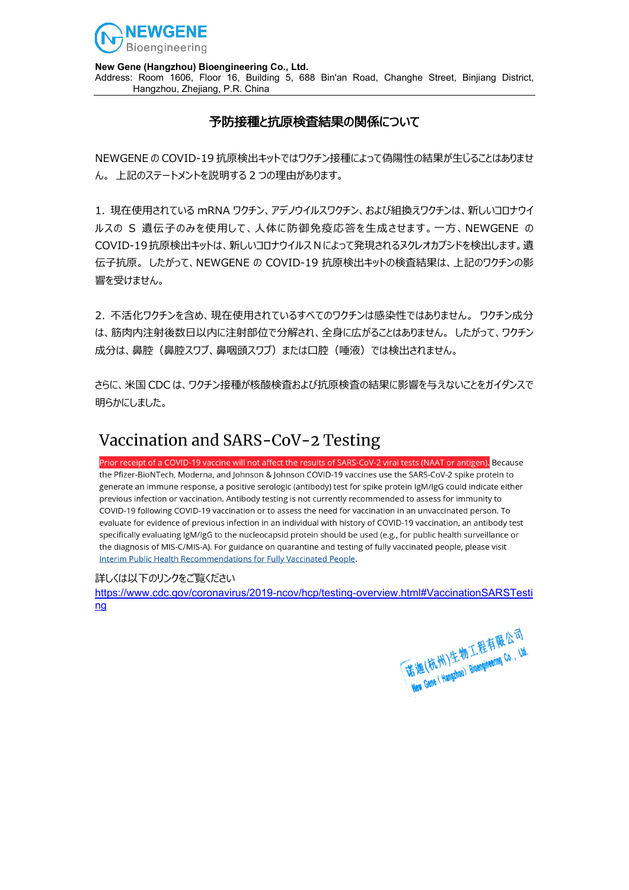

**New Gene (Hangzhou) Bioengineering Co., Ltd.**

Address: Room 1606, Floor 16, Building 5, 688 Bin'an Road, Changhe Street, Binjiang District, Hangzhou, Zhejiang, P.R. China

## 予防接種と抗原検査結果の関係について

NEWGENE の COVID-19 抗原検出キットではワクチン接種によって偽陽性の結果が生じることはありませ ん。 上記のステートメントを説明する 2 つの理由があります。

1. 現在使用されている mRNA ワクチン、アデノウイルスワクチン、および組換えワクチンは、新しいコロナウイ ルスの S 遺伝子のみを使用して、人体に防御免疫応答を生成させます。一方、NEWGENE の COVID-19抗原検出キットは、新しいコロナウイルス N によって発現されるヌクレオカプシドを検出します。遺 伝子抗原。 したがって、NEWGENE の COVID-19 抗原検出キットの検査結果は、上記のワクチンの影 響を受けません。

2. 不活化ワクチンを含め、現在使用されているすべてのワクチンは感染性ではありません。 ワクチン成分 は、筋肉内注射後数日以内に注射部位で分解され、全身に広がることはありません。 したがって、ワクチン 成分は、鼻腔 (鼻腔スワブ、鼻咽頭スワブ) または口腔 (唾液) では検出されません。

さらに、米国 CDC は、ワクチン接種が核酸検査および抗原検査の結果に影響を与えないことをガイダンスで 明らかにしました。

## Vaccination and SARS-CoV-2 Testing

Prior receipt of a COVID-19 vaccine will not affect the results of SARS-CoV-2 viral tests (NAAT or antigen). Because the Pfizer-BioNTech, Moderna, and Johnson & Johnson COVID-19 vaccines use the SARS-CoV-2 spike protein to generate an immune response, a positive serologic (antibody) test for spike protein IgM/IgG could indicate either previous infection or vaccination. Antibody testing is not currently recommended to assess for immunity to COVID-19 following COVID-19 vaccination or to assess the need for vaccination in an unvaccinated person. To evaluate for evidence of previous infection in an individual with history of COVID-19 vaccination, an antibody test specifically evaluating IgM/IgG to the nucleocapsid protein should be used (e.g., for public health surveillance or the diagnosis of MIS-C/MIS-A). For guidance on quarantine and testing of fully vaccinated people, please visit Interim Public Health Recommendations for Fully Vaccinated People.

### 詳しくは以下のリンクをご覧ください

[https://www.cdc.gov/coronavirus/2019-ncov/hcp/testing-overview.html#VaccinationSARSTesti](https://www.cdc.gov/coronavirus/2019-ncov/hcp/testing-overview.html#VaccinationSARSTesting) [ng](https://www.cdc.gov/coronavirus/2019-ncov/hcp/testing-overview.html#VaccinationSARSTesting)

(诺迦(杭州)生物工程有限公司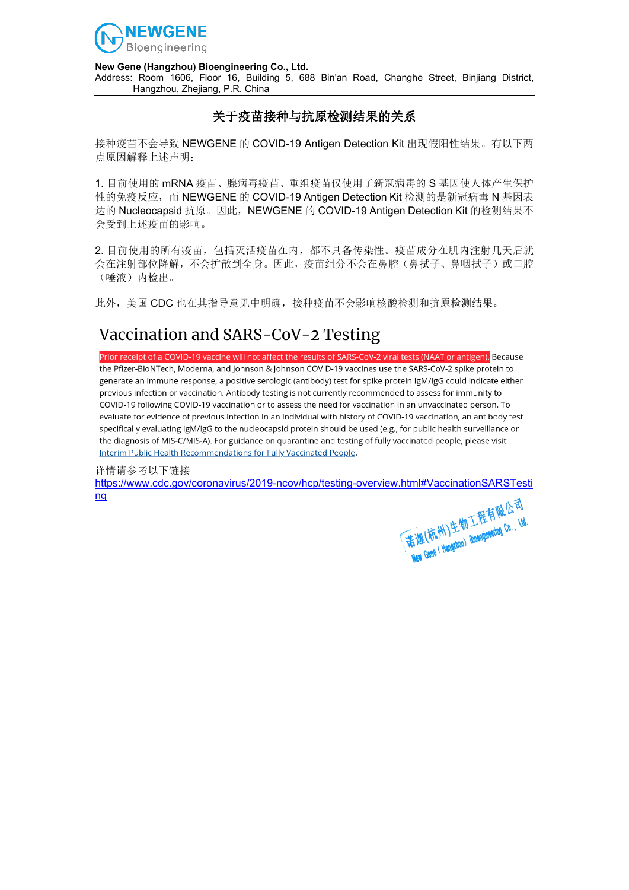

#### **New Gene (Hangzhou) Bioengineering Co., Ltd.**

Address: Room 1606, Floor 16, Building 5, 688 Bin'an Road, Changhe Street, Binjiang District, Hangzhou, Zhejiang, P.R. China

### 关于疫苗接种与抗原检测结果的关系

接种疫苗不会导致 NEWGENE 的 COVID-19 Antigen Detection Kit 出现假阳性结果。有以下两 点原因解释上述声明:

1. 目前使用的 mRNA 疫苗、腺病毒疫苗、重组疫苗仅使用了新冠病毒的 S 基因使人体产生保护 性的免疫反应,而 NEWGENE 的 COVID-19 Antigen Detection Kit 检测的是新冠病毒 N 基因表 达的 Nucleocapsid 抗原。因此,NEWGENE 的 COVID-19 Antigen Detection Kit 的检测结果不 会受到上述疫苗的影响。

2. 目前使用的所有疫苗,包括灭活疫苗在内,都不具备传染性。疫苗成分在肌内注射几天后就 会在注射部位降解,不会扩散到全身。因此,疫苗组分不会在鼻腔(鼻拭子、鼻咽拭子)或口腔 (唾液)内检出。

此外,美国 CDC 也在其指导意见中明确,接种疫苗不会影响核酸检测和抗原检测结果。

# Vaccination and SARS-CoV-2 Testing

Prior receipt of a COVID-19 vaccine will not affect the results of SARS-CoV-2 viral tests (NAAT or antigen). Because the Pfizer-BioNTech. Moderna, and Johnson & Johnson COVID-19 vaccines use the SARS-CoV-2 spike protein to generate an immune response, a positive serologic (antibody) test for spike protein JgM/JgG could indicate either previous infection or vaccination. Antibody testing is not currently recommended to assess for immunity to COVID-19 following COVID-19 vaccination or to assess the need for vaccination in an unvaccinated person. To evaluate for evidence of previous infection in an individual with history of COVID-19 vaccination, an antibody test specifically evaluating IgM/IgG to the nucleocapsid protein should be used (e.g., for public health surveillance or the diagnosis of MIS-C/MIS-A). For guidance on quarantine and testing of fully vaccinated people, please visit Interim Public Health Recommendations for Fully Vaccinated People.

#### 详情请参考以下链接

[https://www.cdc.gov/coronavirus/2019-ncov/hcp/testing-overview.html#VaccinationSARSTesti](https://www.cdc.gov/coronavirus/2019-ncov/hcp/testing-overview.html#VaccinationSARSTesting) [ng](https://www.cdc.gov/coronavirus/2019-ncov/hcp/testing-overview.html#VaccinationSARSTesting)

(诺迦(杭州)生物工程有限公司